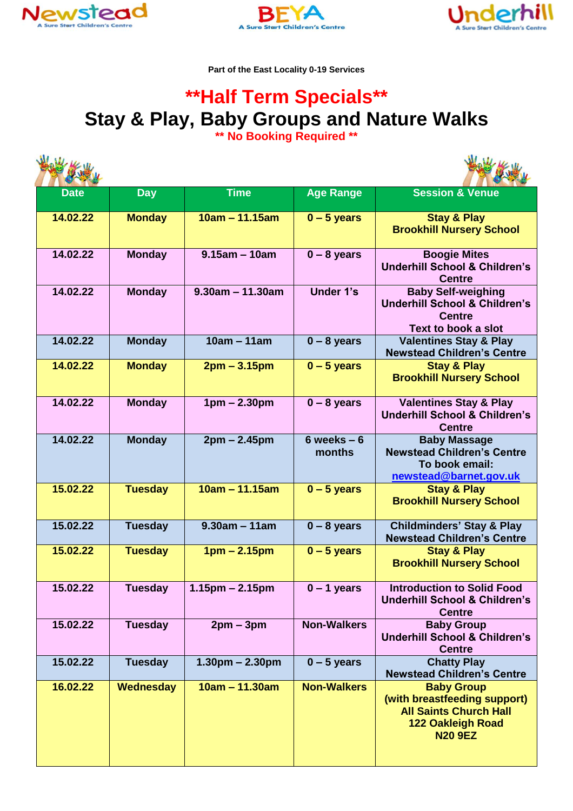





**Part of the East Locality 0-19 Services**

## **\*\*Half Term Specials\*\* Stay & Play, Baby Groups and Nature Walks**

**\*\* No Booking Required \*\***

| <b>Date</b> | <b>Day</b>       | <b>Time</b>         | <b>Age Range</b>         | <b>Session &amp; Venue</b>                                                                                                       |  |  |  |
|-------------|------------------|---------------------|--------------------------|----------------------------------------------------------------------------------------------------------------------------------|--|--|--|
| 14.02.22    | <b>Monday</b>    | $10am - 11.15am$    | $0 - 5$ years            | <b>Stay &amp; Play</b><br><b>Brookhill Nursery School</b>                                                                        |  |  |  |
| 14.02.22    | <b>Monday</b>    | $9.15$ am - 10am    | $0 - 8$ years            | <b>Boogie Mites</b><br><b>Underhill School &amp; Children's</b><br><b>Centre</b>                                                 |  |  |  |
| 14.02.22    | <b>Monday</b>    | $9.30$ am - 11.30am | <b>Under 1's</b>         | <b>Baby Self-weighing</b><br><b>Underhill School &amp; Children's</b><br><b>Centre</b><br>Text to book a slot                    |  |  |  |
| 14.02.22    | <b>Monday</b>    | $10am - 11am$       | $0 - 8$ years            | <b>Valentines Stay &amp; Play</b><br><b>Newstead Children's Centre</b>                                                           |  |  |  |
| 14.02.22    | <b>Monday</b>    | $2pm - 3.15pm$      | $0 - 5$ years            | <b>Stay &amp; Play</b><br><b>Brookhill Nursery School</b>                                                                        |  |  |  |
| 14.02.22    | <b>Monday</b>    | $1pm - 2.30pm$      | $0 - 8$ years            | <b>Valentines Stay &amp; Play</b><br><b>Underhill School &amp; Children's</b><br><b>Centre</b>                                   |  |  |  |
| 14.02.22    | <b>Monday</b>    | $2pm - 2.45pm$      | $6$ weeks $-6$<br>months | <b>Baby Massage</b><br><b>Newstead Children's Centre</b><br>To book email:<br>newstead@barnet.gov.uk                             |  |  |  |
| 15.02.22    | <b>Tuesday</b>   | $10am - 11.15am$    | $0 - 5$ years            | <b>Stay &amp; Play</b><br><b>Brookhill Nursery School</b>                                                                        |  |  |  |
| 15.02.22    | <b>Tuesday</b>   | $9.30am - 11am$     | $0 - 8$ years            | <b>Childminders' Stay &amp; Play</b><br><b>Newstead Children's Centre</b>                                                        |  |  |  |
| 15.02.22    | <b>Tuesday</b>   | $1pm - 2.15pm$      | $0 - 5$ years            | <b>Stay &amp; Play</b><br><b>Brookhill Nursery School</b>                                                                        |  |  |  |
| 15.02.22    | Tuesday          | $1.15pm - 2.15pm$   | $0 - 1$ years            | <b>Introduction to Solid Food</b><br><b>Underhill School &amp; Children's</b><br><b>Centre</b>                                   |  |  |  |
| 15.02.22    | <b>Tuesday</b>   | $2pm - 3pm$         | <b>Non-Walkers</b>       | <b>Baby Group</b><br><b>Underhill School &amp; Children's</b><br><b>Centre</b>                                                   |  |  |  |
| 15.02.22    | <b>Tuesday</b>   | $1.30pm - 2.30pm$   | $0 - 5$ years            | <b>Chatty Play</b><br><b>Newstead Children's Centre</b>                                                                          |  |  |  |
| 16.02.22    | <b>Wednesday</b> | $10am - 11.30am$    | <b>Non-Walkers</b>       | <b>Baby Group</b><br>(with breastfeeding support)<br><b>All Saints Church Hall</b><br><b>122 Oakleigh Road</b><br><b>N20 9EZ</b> |  |  |  |